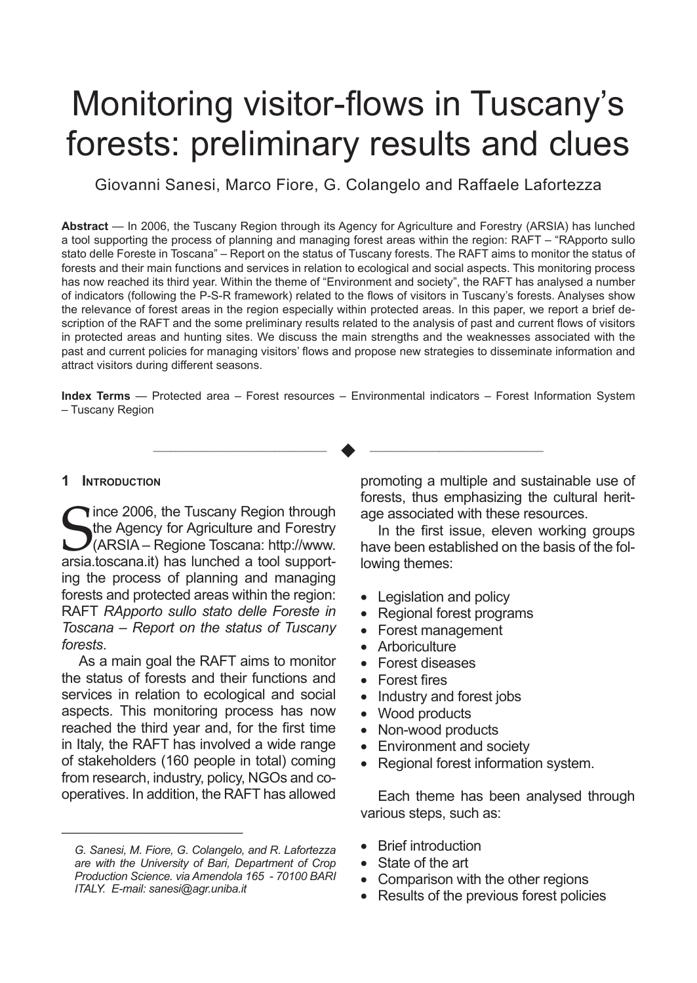# Monitoring visitor-flows in Tuscany's forests: preliminary results and clues

Giovanni Sanesi, Marco Fiore, G. Colangelo and Raffaele Lafortezza

**Abstract** — In 2006, the Tuscany Region through its Agency for Agriculture and Forestry (ARSIA) has lunched a tool supporting the process of planning and managing forest areas within the region: RAFT – "RApporto sullo stato delle Foreste in Toscana" – Report on the status of Tuscany forests. The RAFT aims to monitor the status of forests and their main functions and services in relation to ecological and social aspects. This monitoring process has now reached its third year. Within the theme of "Environment and society", the RAFT has analysed a number of indicators (following the P-S-R framework) related to the flows of visitors in Tuscany's forests. Analyses show the relevance of forest areas in the region especially within protected areas. In this paper, we report a brief description of the RAFT and the some preliminary results related to the analysis of past and current flows of visitors in protected areas and hunting sites. We discuss the main strengths and the weaknesses associated with the past and current policies for managing visitors' flows and propose new strategies to disseminate information and attract visitors during different seasons.

**Index Terms** — Protected area – Forest resources – Environmental indicators – Forest Information System – Tuscany Region

—————————— u ——————————

#### **1 Introduction**

Since 2006, the Tuscany Region through<br>the Agency for Agriculture and Forestry<br>(ARSIA – Regione Toscana: http://www.<br>arsia.toscana.it) has lunched a tool supportince 2006, the Tuscany Region through the Agency for Agriculture and Forestry (ARSIA – Regione Toscana: http://www. ing the process of planning and managing forests and protected areas within the region: RAFT *RApporto sullo stato delle Foreste in Toscana – Report on the status of Tuscany forests*.

As a main goal the RAFT aims to monitor the status of forests and their functions and services in relation to ecological and social aspects. This monitoring process has now reached the third year and, for the first time in Italy, the RAFT has involved a wide range of stakeholders (160 people in total) coming from research, industry, policy, NGOs and cooperatives. In addition, the RAFT has allowed

————————————————

promoting a multiple and sustainable use of forests, thus emphasizing the cultural heritage associated with these resources.

In the first issue, eleven working groups have been established on the basis of the following themes:

- Legislation and policy
- Regional forest programs
- • Forest management
- Arboriculture
- • Forest diseases
- • Forest fires
- Industry and forest jobs
- Wood products
- Non-wood products
- Environment and society
- • Regional forest information system.

Each theme has been analysed through various steps, such as:

- • Brief introduction
- State of the art
- Comparison with the other regions
- Results of the previous forest policies

*G. Sanesi, M. Fiore, G. Colangelo, and R. Lafortezza are with the University of Bari, Department of Crop Production Science. via Amendola 165 - 70100 BARI ITALY. E-mail: sanesi@agr.uniba.it*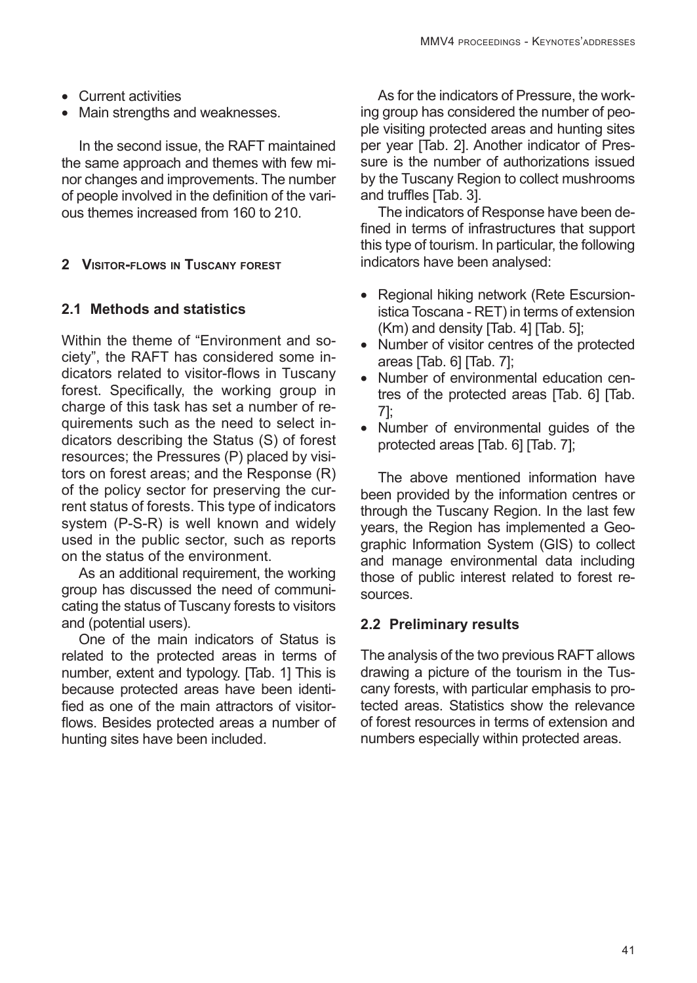- • Current activities
- Main strengths and weaknesses.

In the second issue, the RAFT maintained the same approach and themes with few minor changes and improvements. The number of people involved in the definition of the various themes increased from 160 to 210.

# **2 Visitor-flows in Tuscany forest**

# **2.1 Methods and statistics**

Within the theme of "Environment and society", the RAFT has considered some indicators related to visitor-flows in Tuscany forest. Specifically, the working group in charge of this task has set a number of requirements such as the need to select indicators describing the Status (S) of forest resources; the Pressures (P) placed by visitors on forest areas; and the Response (R) of the policy sector for preserving the current status of forests. This type of indicators system (P-S-R) is well known and widely used in the public sector, such as reports on the status of the environment.

As an additional requirement, the working group has discussed the need of communicating the status of Tuscany forests to visitors and (potential users).

One of the main indicators of Status is related to the protected areas in terms of number, extent and typology. [Tab. 1] This is because protected areas have been identified as one of the main attractors of visitorflows. Besides protected areas a number of hunting sites have been included.

As for the indicators of Pressure, the working group has considered the number of people visiting protected areas and hunting sites per year [Tab. 2]. Another indicator of Pressure is the number of authorizations issued by the Tuscany Region to collect mushrooms and truffles [Tab. 3].

The indicators of Response have been defined in terms of infrastructures that support this type of tourism. In particular, the following indicators have been analysed:

- Regional hiking network (Rete Escursionistica Toscana - RET) in terms of extension (Km) and density [Tab. 4] [Tab. 5];
- • Number of visitor centres of the protected areas [Tab. 6] [Tab. 7];
- Number of environmental education centres of the protected areas [Tab. 6] [Tab. 7];
- • Number of environmental guides of the protected areas [Tab. 6] [Tab. 7];

The above mentioned information have been provided by the information centres or through the Tuscany Region. In the last few years, the Region has implemented a Geographic Information System (GIS) to collect and manage environmental data including those of public interest related to forest resources.

# **2.2 Preliminary results**

The analysis of the two previous RAFT allows drawing a picture of the tourism in the Tuscany forests, with particular emphasis to protected areas. Statistics show the relevance of forest resources in terms of extension and numbers especially within protected areas.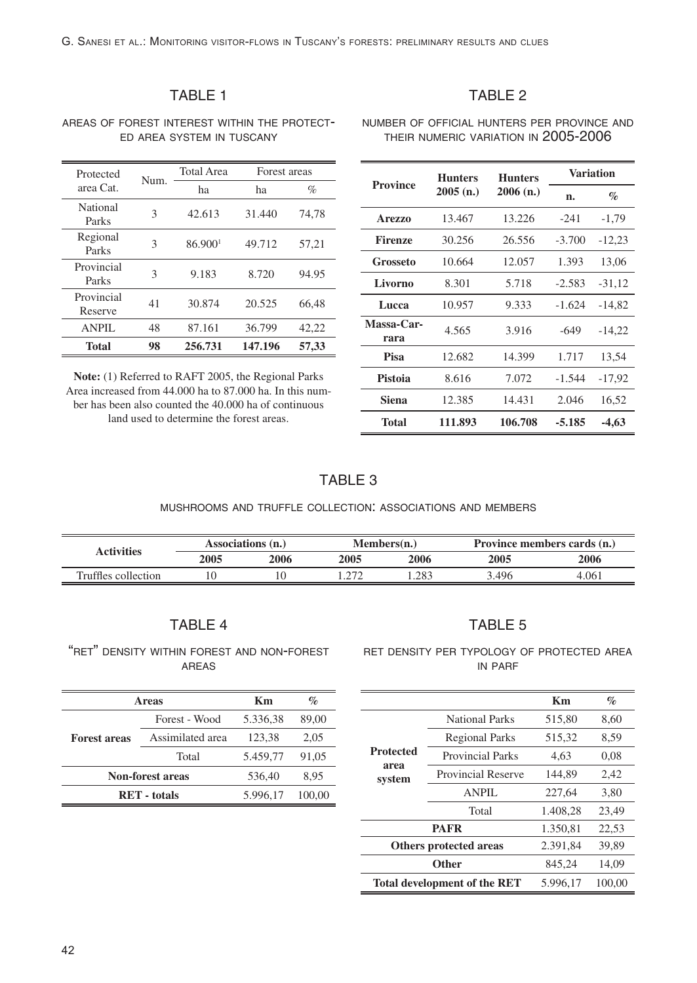# TABLE 1

#### areas of forest interest within the protect ed area system in tuscany

| Protected             | Num. | <b>Total Area</b> | Forest areas |       |  |
|-----------------------|------|-------------------|--------------|-------|--|
| area Cat.             |      | ha                | ha           | $\%$  |  |
| National<br>Parks     | 3    | 42.613            | 31.440       | 74,78 |  |
| Regional<br>Parks     | 3    | 86.9001           | 49.712       | 57,21 |  |
| Provincial<br>Parks   | 3    | 9.183             | 8.720        | 94.95 |  |
| Provincial<br>Reserve | 41   | 30.874            | 20.525       | 66,48 |  |
| ANPIL                 | 48   | 87.161            | 36.799       | 42,22 |  |
| Total                 | 98   | 256.731           | 147.196      | 57,33 |  |

**Note:** (1) Referred to RAFT 2005, the Regional Parks Area increased from 44.000 ha to 87.000 ha. In this number has been also counted the 40.000 ha of continuous land used to determine the forest areas.

|--|--|

number of official hunters per province and their numeric variation in 2005-2006

| <b>Province</b>    | <b>Hunters</b> | <b>Hunters</b> | Variation |          |  |
|--------------------|----------------|----------------|-----------|----------|--|
|                    | 2005(n.)       | 2006(n.)       | n.        | $\%$     |  |
| <b>Arezzo</b>      | 13.467         | 13.226         | $-241$    | $-1,79$  |  |
| <b>Firenze</b>     | 30.256         | 26.556         | $-3.700$  | $-12,23$ |  |
| Grosseto           | 10.664         | 12.057         | 1.393     | 13,06    |  |
| Livorno            | 8.301          | 5.718          | $-2.583$  | $-31,12$ |  |
| Lucca              | 10.957         | 9.333          | $-1.624$  | $-14.82$ |  |
| Massa-Car-<br>rara | 4.565          | 3.916          | -649      | $-14,22$ |  |
| Pisa               | 12.682         | 14.399         | 1.717     | 13,54    |  |
| Pistoia            | 8.616          | 7.072          | $-1.544$  | $-17,92$ |  |
| Siena              | 12.385         | 14.431         | 2.046     | 16,52    |  |
| Total              | 111.893        | 106.708        | $-5.185$  | -4,63    |  |

## TABLE 3

#### mushrooms and truffle collection: associations and members

| <b>Activities</b>   | Associations (n.) |      | $M$ embers $(n.)$ |      | Province members cards (n.) |       |
|---------------------|-------------------|------|-------------------|------|-----------------------------|-------|
|                     | 2005              | 2006 | 2005              | 2006 | 2005                        | 2006  |
| Truffles collection |                   |      | 27                | .283 | 3.496                       | 4.061 |

### TABLE 4

"ret" density within forest and non-forest areas

| Areas                   |                  | <b>Km</b> | $\%$   |
|-------------------------|------------------|-----------|--------|
| <b>Forest areas</b>     | Forest - Wood    | 5.336,38  | 89,00  |
|                         | Assimilated area | 123,38    | 2,05   |
|                         | Total            | 5.459.77  | 91,05  |
| <b>Non-forest areas</b> | 536.40           | 8.95      |        |
| <b>RET</b> - totals     |                  | 5.996.17  | 100.00 |

#### ret density per typology of protected area in parf

TABLE 5

|                                    |                                     | Km       | $\%$   |
|------------------------------------|-------------------------------------|----------|--------|
|                                    | National Parks                      | 515,80   | 8,60   |
|                                    | <b>Regional Parks</b>               | 515,32   | 8,59   |
| <b>Protected</b><br>area<br>system | <b>Provincial Parks</b>             | 4.63     | 0,08   |
|                                    | <b>Provincial Reserve</b>           | 144.89   | 2,42   |
|                                    | ANPIL                               | 227.64   | 3.80   |
|                                    | Total                               | 1.408.28 | 23.49  |
|                                    | <b>PAFR</b>                         | 1.350.81 | 22,53  |
| Others protected areas             |                                     | 2.391.84 | 39.89  |
| Other                              |                                     | 845,24   | 14,09  |
|                                    | <b>Total development of the RET</b> | 5.996.17 | 100.00 |

#### 42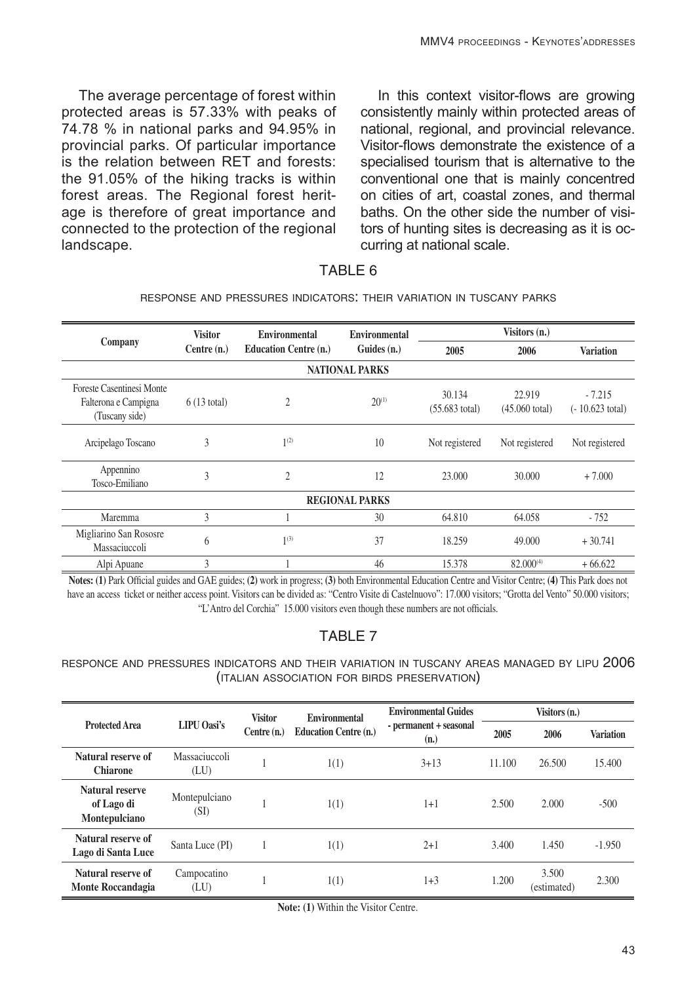The average percentage of forest within protected areas is 57.33% with peaks of 74.78 % in national parks and 94.95% in provincial parks. Of particular importance is the relation between RET and forests: the 91.05% of the hiking tracks is within forest areas. The Regional forest heritage is therefore of great importance and connected to the protection of the regional landscape.

In this context visitor-flows are growing consistently mainly within protected areas of national, regional, and provincial relevance. Visitor-flows demonstrate the existence of a specialised tourism that is alternative to the conventional one that is mainly concentred on cities of art, coastal zones, and thermal baths. On the other side the number of visitors of hunting sites is decreasing as it is occurring at national scale.

## TABLE 6

#### response and pressures indicators: their variation in tuscany parks

|                                                                     | <b>Visitor</b><br>Environmental<br>Environmental<br>Company<br><b>Education Centre (n.)</b><br>Guides (n.)<br>Centre $(n.)$ |                        |            | Visitors (n.)                      |                                    |                                       |  |  |  |
|---------------------------------------------------------------------|-----------------------------------------------------------------------------------------------------------------------------|------------------------|------------|------------------------------------|------------------------------------|---------------------------------------|--|--|--|
|                                                                     |                                                                                                                             |                        | 2005       | 2006                               | <b>Variation</b>                   |                                       |  |  |  |
|                                                                     | <b>NATIONAL PARKS</b>                                                                                                       |                        |            |                                    |                                    |                                       |  |  |  |
| Foreste Casentinesi Monte<br>Falterona e Campigna<br>(Tuscany side) | $6(13 \text{ total})$                                                                                                       | $\mathfrak{2}$         | $20^{(1)}$ | 30.134<br>$(55.683 \text{ total})$ | 22.919<br>$(45.060 \text{ total})$ | $-7.215$<br>$(-10.623 \text{ total})$ |  |  |  |
| Arcipelago Toscano                                                  | 3                                                                                                                           | 1 <sup>(2)</sup><br>10 |            | Not registered                     | Not registered                     | Not registered                        |  |  |  |
| Appennino<br>Tosco-Emiliano                                         | 3                                                                                                                           | $\mathfrak{2}$<br>12   |            | 23,000                             | 30.000                             | $+7.000$                              |  |  |  |
| <b>REGIONAL PARKS</b>                                               |                                                                                                                             |                        |            |                                    |                                    |                                       |  |  |  |
| Maremma                                                             | 3                                                                                                                           |                        | 30         | 64.810                             | 64.058                             | $-752$                                |  |  |  |
| Migliarino San Rososre<br>Massaciuccoli                             | 6                                                                                                                           | $1^{(3)}$              | 37         | 18.259                             | 49.000                             | $+30.741$                             |  |  |  |
| Alpi Apuane                                                         | 3                                                                                                                           |                        | 46         | 15.378                             | 82.000(4)                          | $+66.622$                             |  |  |  |

**Notes: (1)** Park Official guides and GAE guides; **(2)** work in progress; **(3)** both Environmental Education Centre and Visitor Centre; **(4)** This Park does not have an access ticket or neither access point. Visitors can be divided as: "Centro Visite di Castelnuovo": 17.000 visitors; "Grotta del Vento" 50.000 visitors; "L'Antro del Corchia" 15.000 visitors even though these numbers are not officials.

# TABLE 7

#### responce and pressures indicators and their variation in tuscany areas managed by lipu 2006 (italian association for birds preservation)

| <b>Protected Area</b>                          | LIPU Oasi's           | <b>Visitor</b><br>Centre $(n.)$ | Environmental                | <b>Environmental Guides</b>    | Visitors (n.) |                      |                  |
|------------------------------------------------|-----------------------|---------------------------------|------------------------------|--------------------------------|---------------|----------------------|------------------|
|                                                |                       |                                 | <b>Education Centre (n.)</b> | - permanent + seasonal<br>(n.) | 2005          | 2006                 | <b>Variation</b> |
| Natural reserve of<br><b>Chiarone</b>          | Massaciuccoli<br>(LU) |                                 | 1(1)                         | $3 + 13$                       | 11.100        | 26.500               | 15.400           |
| Natural reserve<br>of Lago di<br>Montepulciano | Montepulciano<br>(SI) |                                 | 1(1)                         | $1+1$                          | 2.500         | 2.000                | $-500$           |
| Natural reserve of<br>Lago di Santa Luce       | Santa Luce (PI)       |                                 | 1(1)                         | $2+1$                          | 3.400         | 1.450                | $-1.950$         |
| Natural reserve of<br><b>Monte Roccandagia</b> | Campocatino<br>(LU)   |                                 | 1(1)                         | $1 + 3$                        | 1.200         | 3.500<br>(estimated) | 2.300            |

**Note: (1)** Within the Visitor Centre.